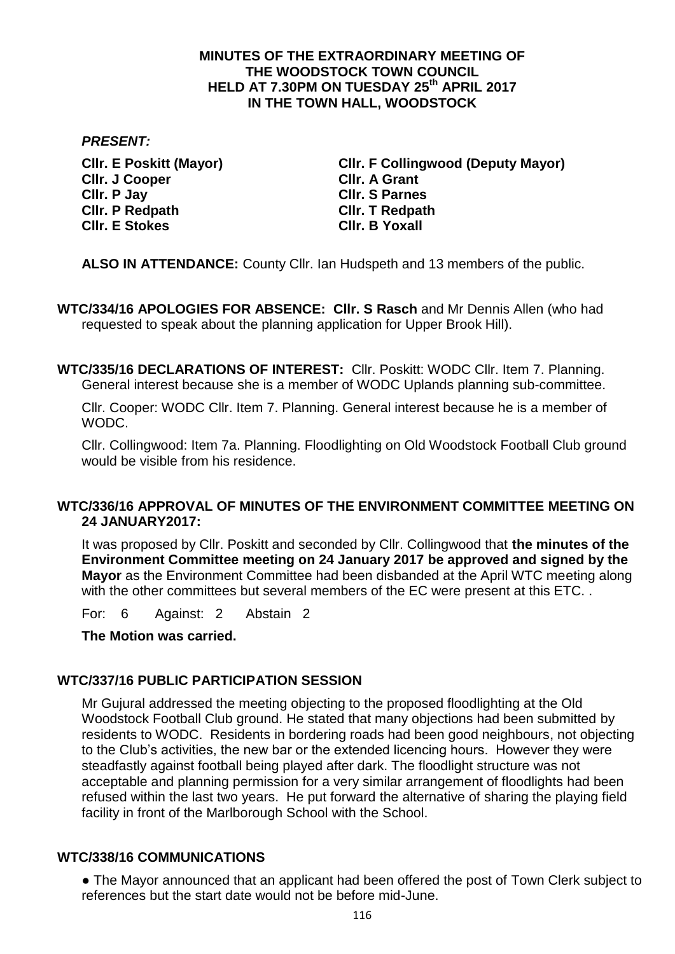## **MINUTES OF THE EXTRAORDINARY MEETING OF THE WOODSTOCK TOWN COUNCIL HELD AT 7.30PM ON TUESDAY 25th APRIL 2017 IN THE TOWN HALL, WOODSTOCK**

### *PRESENT:*

**Cllr. J Cooper Cllr. A Grant Cllr. P Jay Cllr. S Parnes Cllr. P Redpath Cllr. T Redpath Cllr. E Stokes Cllr. B Yoxall**

**Cllr. E Poskitt (Mayor) Cllr. F Collingwood (Deputy Mayor)**

**ALSO IN ATTENDANCE:** County Cllr. Ian Hudspeth and 13 members of the public.

**WTC/334/16 APOLOGIES FOR ABSENCE: Cllr. S Rasch** and Mr Dennis Allen (who had requested to speak about the planning application for Upper Brook Hill).

**WTC/335/16 DECLARATIONS OF INTEREST:** Cllr. Poskitt: WODC Cllr. Item 7. Planning. General interest because she is a member of WODC Uplands planning sub-committee.

Cllr. Cooper: WODC Cllr. Item 7. Planning. General interest because he is a member of WODC.

Cllr. Collingwood: Item 7a. Planning. Floodlighting on Old Woodstock Football Club ground would be visible from his residence.

# **WTC/336/16 APPROVAL OF MINUTES OF THE ENVIRONMENT COMMITTEE MEETING ON 24 JANUARY2017:**

It was proposed by Cllr. Poskitt and seconded by Cllr. Collingwood that **the minutes of the Environment Committee meeting on 24 January 2017 be approved and signed by the Mayor** as the Environment Committee had been disbanded at the April WTC meeting along with the other committees but several members of the EC were present at this ETC.

For: 6 Against: 2 Abstain 2

**The Motion was carried.**

## **WTC/337/16 PUBLIC PARTICIPATION SESSION**

Mr Gujural addressed the meeting objecting to the proposed floodlighting at the Old Woodstock Football Club ground. He stated that many objections had been submitted by residents to WODC. Residents in bordering roads had been good neighbours, not objecting to the Club's activities, the new bar or the extended licencing hours. However they were steadfastly against football being played after dark. The floodlight structure was not acceptable and planning permission for a very similar arrangement of floodlights had been refused within the last two years. He put forward the alternative of sharing the playing field facility in front of the Marlborough School with the School.

## **WTC/338/16 COMMUNICATIONS**

● The Mayor announced that an applicant had been offered the post of Town Clerk subject to references but the start date would not be before mid-June.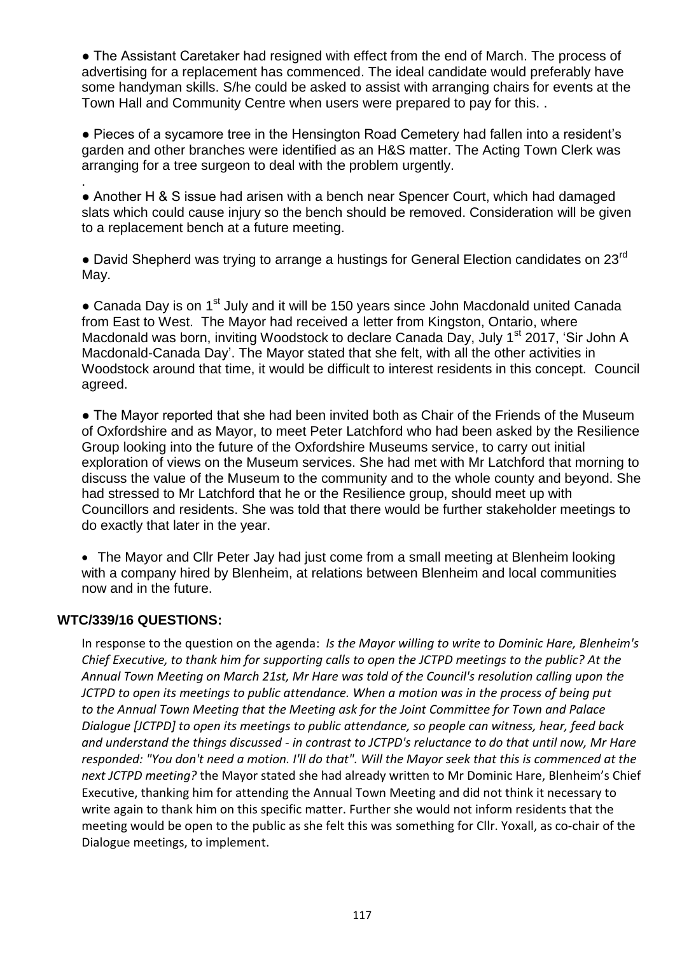• The Assistant Caretaker had resigned with effect from the end of March. The process of advertising for a replacement has commenced. The ideal candidate would preferably have some handyman skills. S/he could be asked to assist with arranging chairs for events at the Town Hall and Community Centre when users were prepared to pay for this. .

● Pieces of a sycamore tree in the Hensington Road Cemetery had fallen into a resident's garden and other branches were identified as an H&S matter. The Acting Town Clerk was arranging for a tree surgeon to deal with the problem urgently.

. • Another H & S issue had arisen with a bench near Spencer Court, which had damaged slats which could cause injury so the bench should be removed. Consideration will be given to a replacement bench at a future meeting.

• David Shepherd was trying to arrange a hustings for General Election candidates on 23<sup>rd</sup> May.

• Canada Day is on 1<sup>st</sup> July and it will be 150 years since John Macdonald united Canada from East to West. The Mayor had received a letter from Kingston, Ontario, where Macdonald was born, inviting Woodstock to declare Canada Day, July 1<sup>st</sup> 2017, 'Sir John A Macdonald-Canada Day'. The Mayor stated that she felt, with all the other activities in Woodstock around that time, it would be difficult to interest residents in this concept. Council agreed.

● The Mayor reported that she had been invited both as Chair of the Friends of the Museum of Oxfordshire and as Mayor, to meet Peter Latchford who had been asked by the Resilience Group looking into the future of the Oxfordshire Museums service, to carry out initial exploration of views on the Museum services. She had met with Mr Latchford that morning to discuss the value of the Museum to the community and to the whole county and beyond. She had stressed to Mr Latchford that he or the Resilience group, should meet up with Councillors and residents. She was told that there would be further stakeholder meetings to do exactly that later in the year.

• The Mayor and Cllr Peter Jay had just come from a small meeting at Blenheim looking with a company hired by Blenheim, at relations between Blenheim and local communities now and in the future.

## **WTC/339/16 QUESTIONS:**

In response to the question on the agenda: *Is the Mayor willing to write to Dominic Hare, Blenheim's Chief Executive, to thank him for supporting calls to open the JCTPD meetings to the public? At the Annual Town Meeting on March 21st, Mr Hare was told of the Council's resolution calling upon the JCTPD to open its meetings to public attendance. When a motion was in the process of being put to the Annual Town Meeting that the Meeting ask for the Joint Committee for Town and Palace Dialogue [JCTPD] to open its meetings to public attendance, so people can witness, hear, feed back and understand the things discussed - in contrast to JCTPD's reluctance to do that until now, Mr Hare responded: "You don't need a motion. I'll do that". Will the Mayor seek that this is commenced at the next JCTPD meeting?* the Mayor stated she had already written to Mr Dominic Hare, Blenheim's Chief Executive, thanking him for attending the Annual Town Meeting and did not think it necessary to write again to thank him on this specific matter. Further she would not inform residents that the meeting would be open to the public as she felt this was something for Cllr. Yoxall, as co-chair of the Dialogue meetings, to implement.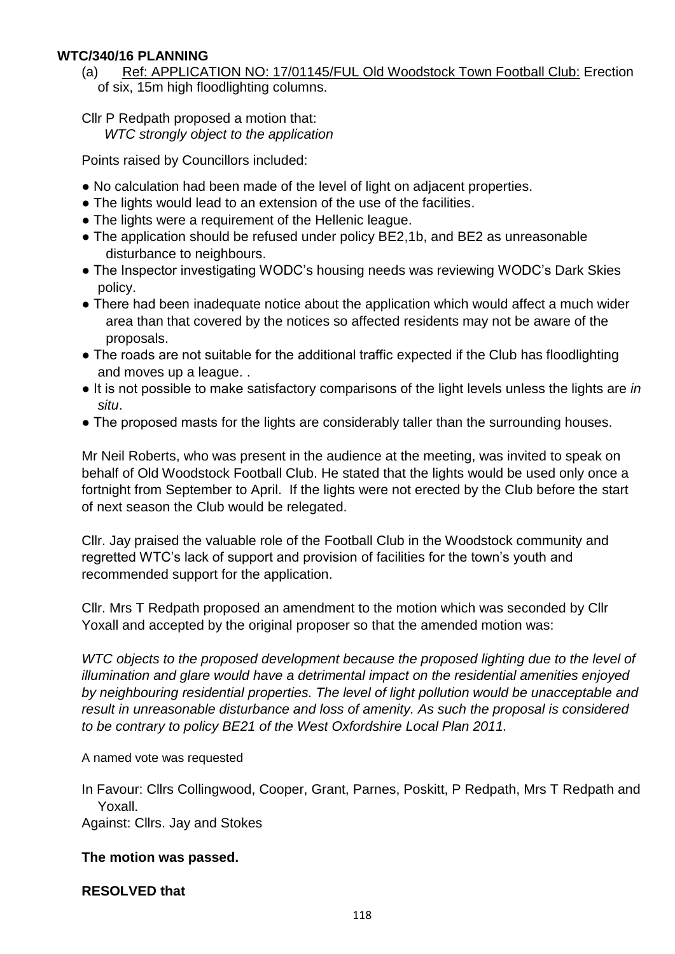# **WTC/340/16 PLANNING**

(a) Ref: APPLICATION NO: 17/01145/FUL Old Woodstock Town Football Club: Erection of six, 15m high floodlighting columns.

Cllr P Redpath proposed a motion that:  *WTC strongly object to the application*

Points raised by Councillors included:

- No calculation had been made of the level of light on adjacent properties.
- The lights would lead to an extension of the use of the facilities.
- The lights were a requirement of the Hellenic league.
- The application should be refused under policy BE2,1b, and BE2 as unreasonable disturbance to neighbours.
- The Inspector investigating WODC's housing needs was reviewing WODC's Dark Skies policy.
- There had been inadequate notice about the application which would affect a much wider area than that covered by the notices so affected residents may not be aware of the proposals.
- The roads are not suitable for the additional traffic expected if the Club has floodlighting and moves up a league. .
- It is not possible to make satisfactory comparisons of the light levels unless the lights are *in situ*.
- The proposed masts for the lights are considerably taller than the surrounding houses.

Mr Neil Roberts, who was present in the audience at the meeting, was invited to speak on behalf of Old Woodstock Football Club. He stated that the lights would be used only once a fortnight from September to April. If the lights were not erected by the Club before the start of next season the Club would be relegated.

Cllr. Jay praised the valuable role of the Football Club in the Woodstock community and regretted WTC's lack of support and provision of facilities for the town's youth and recommended support for the application.

Cllr. Mrs T Redpath proposed an amendment to the motion which was seconded by Cllr Yoxall and accepted by the original proposer so that the amended motion was:

WTC objects to the proposed development because the proposed lighting due to the level of *illumination and glare would have a detrimental impact on the residential amenities enjoyed by neighbouring residential properties. The level of light pollution would be unacceptable and result in unreasonable disturbance and loss of amenity. As such the proposal is considered to be contrary to policy BE21 of the West Oxfordshire Local Plan 2011.*

## A named vote was requested

In Favour: Cllrs Collingwood, Cooper, Grant, Parnes, Poskitt, P Redpath, Mrs T Redpath and Yoxall.

Against: Cllrs. Jay and Stokes

# **The motion was passed.**

## **RESOLVED that**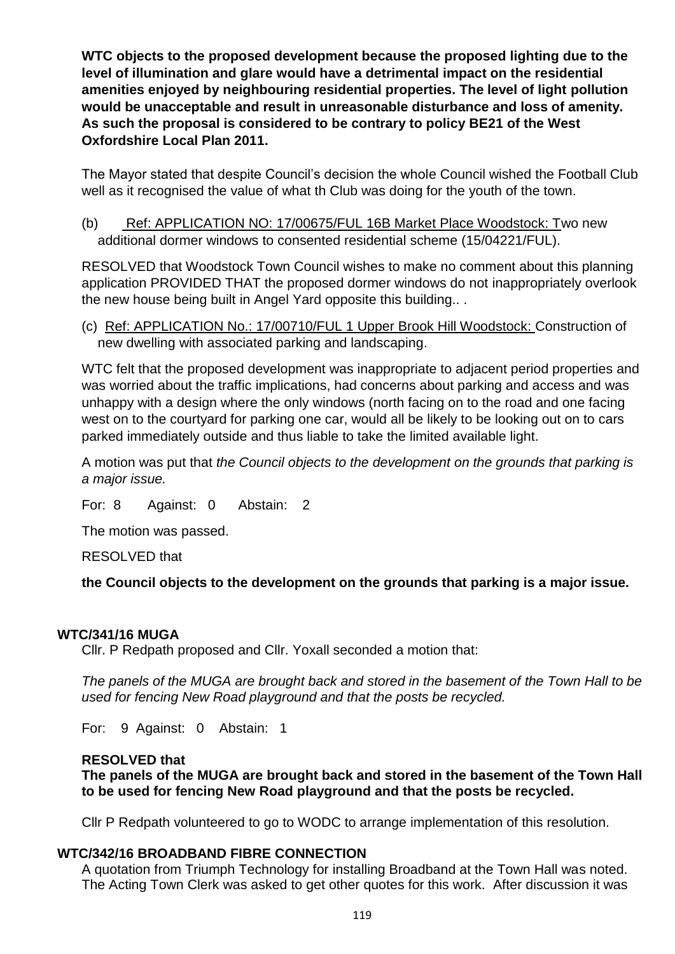**WTC objects to the proposed development because the proposed lighting due to the level of illumination and glare would have a detrimental impact on the residential amenities enjoyed by neighbouring residential properties. The level of light pollution would be unacceptable and result in unreasonable disturbance and loss of amenity. As such the proposal is considered to be contrary to policy BE21 of the West Oxfordshire Local Plan 2011.**

The Mayor stated that despite Council's decision the whole Council wished the Football Club well as it recognised the value of what th Club was doing for the youth of the town.

(b) Ref: APPLICATION NO: 17/00675/FUL 16B Market Place Woodstock: Two new additional dormer windows to consented residential scheme (15/04221/FUL).

RESOLVED that Woodstock Town Council wishes to make no comment about this planning application PROVIDED THAT the proposed dormer windows do not inappropriately overlook the new house being built in Angel Yard opposite this building.. .

(c) Ref: APPLICATION No.: 17/00710/FUL 1 Upper Brook Hill Woodstock: Construction of new dwelling with associated parking and landscaping.

WTC felt that the proposed development was inappropriate to adjacent period properties and was worried about the traffic implications, had concerns about parking and access and was unhappy with a design where the only windows (north facing on to the road and one facing west on to the courtyard for parking one car, would all be likely to be looking out on to cars parked immediately outside and thus liable to take the limited available light.

A motion was put that *the Council objects to the development on the grounds that parking is a major issue.*

For: 8 Against: 0 Abstain: 2

The motion was passed.

RESOLVED that

**the Council objects to the development on the grounds that parking is a major issue.**

## **WTC/341/16 MUGA**

Cllr. P Redpath proposed and Cllr. Yoxall seconded a motion that:

*The panels of the MUGA are brought back and stored in the basement of the Town Hall to be used for fencing New Road playground and that the posts be recycled.*

For: 9 Against: 0 Abstain: 1

# **RESOLVED that**

**The panels of the MUGA are brought back and stored in the basement of the Town Hall to be used for fencing New Road playground and that the posts be recycled.**

Cllr P Redpath volunteered to go to WODC to arrange implementation of this resolution.

## **WTC/342/16 BROADBAND FIBRE CONNECTION**

A quotation from Triumph Technology for installing Broadband at the Town Hall was noted. The Acting Town Clerk was asked to get other quotes for this work. After discussion it was